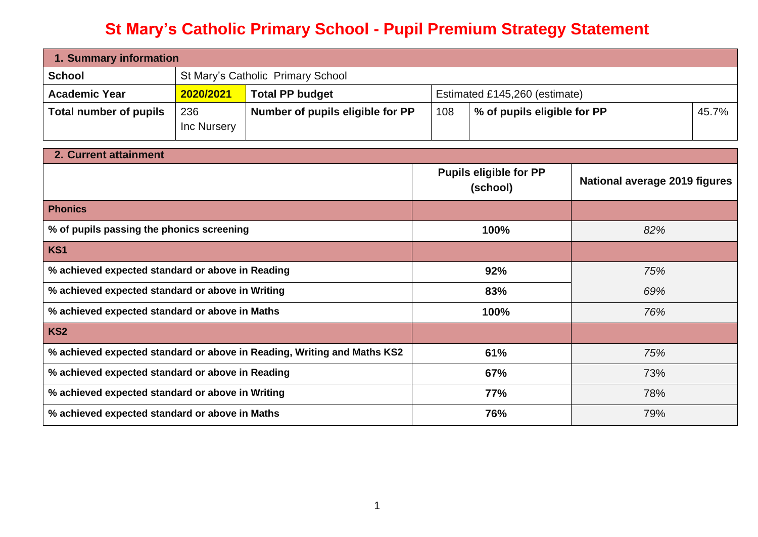## **St Mary's Catholic Primary School - Pupil Premium Strategy Statement**

| 1. Summary information |                                   |                                  |                               |                             |  |       |
|------------------------|-----------------------------------|----------------------------------|-------------------------------|-----------------------------|--|-------|
| <b>School</b>          | St Mary's Catholic Primary School |                                  |                               |                             |  |       |
| <b>Academic Year</b>   | 2020/2021                         | <b>Total PP budget</b>           | Estimated £145,260 (estimate) |                             |  |       |
| Total number of pupils | 236<br>Inc Nursery                | Number of pupils eligible for PP | 108                           | % of pupils eligible for PP |  | 45.7% |

| 2. Current attainment                                                   |                                           |                               |
|-------------------------------------------------------------------------|-------------------------------------------|-------------------------------|
|                                                                         | <b>Pupils eligible for PP</b><br>(school) | National average 2019 figures |
| <b>Phonics</b>                                                          |                                           |                               |
| % of pupils passing the phonics screening                               | 100%                                      | 82%                           |
| KS1                                                                     |                                           |                               |
| % achieved expected standard or above in Reading                        | 92%                                       | 75%                           |
| % achieved expected standard or above in Writing                        | 83%                                       | 69%                           |
| % achieved expected standard or above in Maths                          | 100%                                      | 76%                           |
| KS <sub>2</sub>                                                         |                                           |                               |
| % achieved expected standard or above in Reading, Writing and Maths KS2 | 61%                                       | 75%                           |
| % achieved expected standard or above in Reading                        | 67%                                       | 73%                           |
| % achieved expected standard or above in Writing                        | 77%                                       | 78%                           |
| % achieved expected standard or above in Maths                          | 76%                                       | 79%                           |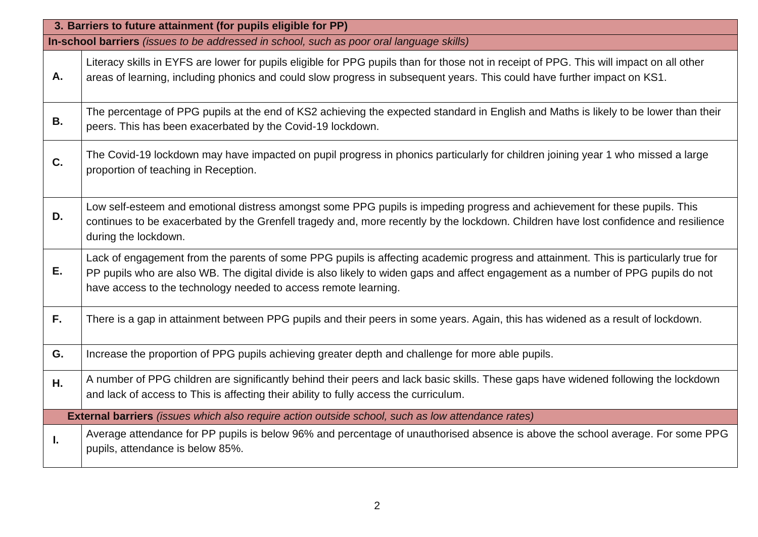|           | 3. Barriers to future attainment (for pupils eligible for PP)                                                                                                                                                                                                                                                                               |
|-----------|---------------------------------------------------------------------------------------------------------------------------------------------------------------------------------------------------------------------------------------------------------------------------------------------------------------------------------------------|
|           | In-school barriers (issues to be addressed in school, such as poor oral language skills)                                                                                                                                                                                                                                                    |
| Α.        | Literacy skills in EYFS are lower for pupils eligible for PPG pupils than for those not in receipt of PPG. This will impact on all other<br>areas of learning, including phonics and could slow progress in subsequent years. This could have further impact on KS1.                                                                        |
| <b>B.</b> | The percentage of PPG pupils at the end of KS2 achieving the expected standard in English and Maths is likely to be lower than their<br>peers. This has been exacerbated by the Covid-19 lockdown.                                                                                                                                          |
| C.        | The Covid-19 lockdown may have impacted on pupil progress in phonics particularly for children joining year 1 who missed a large<br>proportion of teaching in Reception.                                                                                                                                                                    |
| D.        | Low self-esteem and emotional distress amongst some PPG pupils is impeding progress and achievement for these pupils. This<br>continues to be exacerbated by the Grenfell tragedy and, more recently by the lockdown. Children have lost confidence and resilience<br>during the lockdown.                                                  |
| Ε.        | Lack of engagement from the parents of some PPG pupils is affecting academic progress and attainment. This is particularly true for<br>PP pupils who are also WB. The digital divide is also likely to widen gaps and affect engagement as a number of PPG pupils do not<br>have access to the technology needed to access remote learning. |
| F.        | There is a gap in attainment between PPG pupils and their peers in some years. Again, this has widened as a result of lockdown.                                                                                                                                                                                                             |
| G.        | Increase the proportion of PPG pupils achieving greater depth and challenge for more able pupils.                                                                                                                                                                                                                                           |
| Н.        | A number of PPG children are significantly behind their peers and lack basic skills. These gaps have widened following the lockdown<br>and lack of access to This is affecting their ability to fully access the curriculum.                                                                                                                |
|           | <b>External barriers</b> (issues which also require action outside school, such as low attendance rates)                                                                                                                                                                                                                                    |
| L.        | Average attendance for PP pupils is below 96% and percentage of unauthorised absence is above the school average. For some PPG<br>pupils, attendance is below 85%.                                                                                                                                                                          |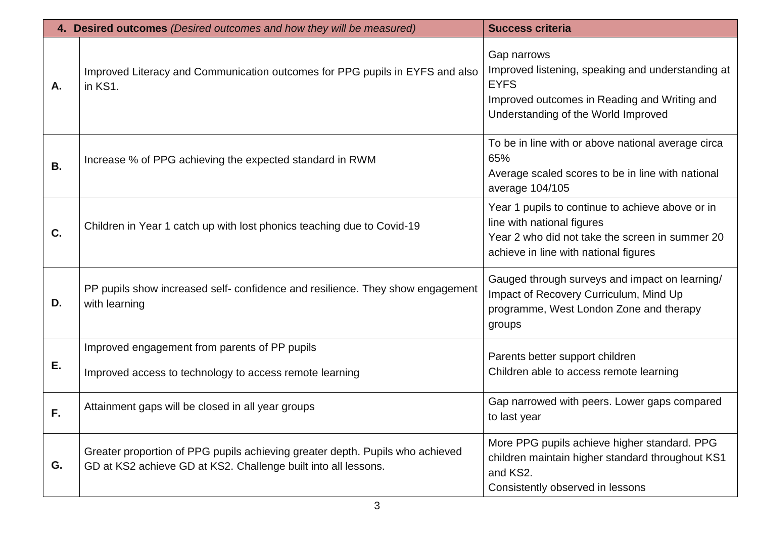|           | 4. Desired outcomes (Desired outcomes and how they will be measured)                                                                            | <b>Success criteria</b>                                                                                                                                                    |
|-----------|-------------------------------------------------------------------------------------------------------------------------------------------------|----------------------------------------------------------------------------------------------------------------------------------------------------------------------------|
| Α.        | Improved Literacy and Communication outcomes for PPG pupils in EYFS and also<br>in KS1.                                                         | Gap narrows<br>Improved listening, speaking and understanding at<br><b>EYFS</b><br>Improved outcomes in Reading and Writing and<br>Understanding of the World Improved     |
| <b>B.</b> | Increase % of PPG achieving the expected standard in RWM                                                                                        | To be in line with or above national average circa<br>65%<br>Average scaled scores to be in line with national<br>average 104/105                                          |
| C.        | Children in Year 1 catch up with lost phonics teaching due to Covid-19                                                                          | Year 1 pupils to continue to achieve above or in<br>line with national figures<br>Year 2 who did not take the screen in summer 20<br>achieve in line with national figures |
| D.        | PP pupils show increased self- confidence and resilience. They show engagement<br>with learning                                                 | Gauged through surveys and impact on learning/<br>Impact of Recovery Curriculum, Mind Up<br>programme, West London Zone and therapy<br>groups                              |
| Е.        | Improved engagement from parents of PP pupils<br>Improved access to technology to access remote learning                                        | Parents better support children<br>Children able to access remote learning                                                                                                 |
| F.        | Attainment gaps will be closed in all year groups                                                                                               | Gap narrowed with peers. Lower gaps compared<br>to last year                                                                                                               |
| G.        | Greater proportion of PPG pupils achieving greater depth. Pupils who achieved<br>GD at KS2 achieve GD at KS2. Challenge built into all lessons. | More PPG pupils achieve higher standard. PPG<br>children maintain higher standard throughout KS1<br>and KS2.<br>Consistently observed in lessons                           |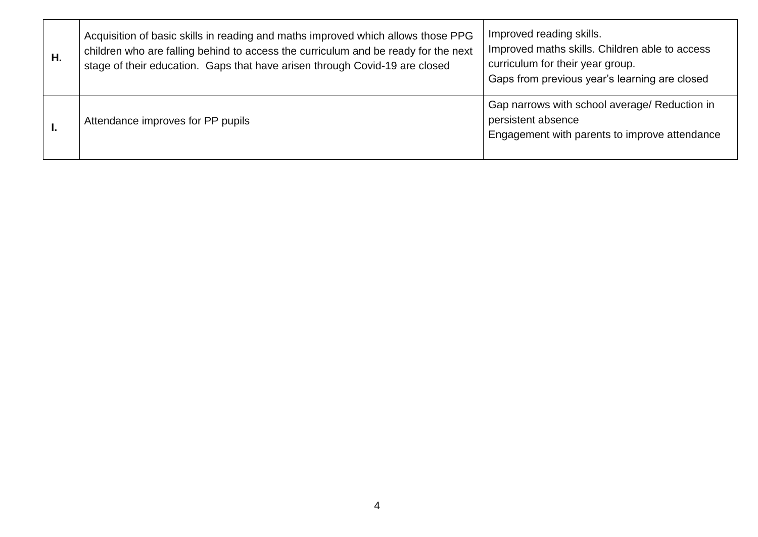| Η. | Acquisition of basic skills in reading and maths improved which allows those PPG<br>children who are falling behind to access the curriculum and be ready for the next<br>stage of their education. Gaps that have arisen through Covid-19 are closed | Improved reading skills.<br>Improved maths skills. Children able to access<br>curriculum for their year group.<br>Gaps from previous year's learning are closed |
|----|-------------------------------------------------------------------------------------------------------------------------------------------------------------------------------------------------------------------------------------------------------|-----------------------------------------------------------------------------------------------------------------------------------------------------------------|
|    | Attendance improves for PP pupils                                                                                                                                                                                                                     | Gap narrows with school average/ Reduction in<br>persistent absence<br>Engagement with parents to improve attendance                                            |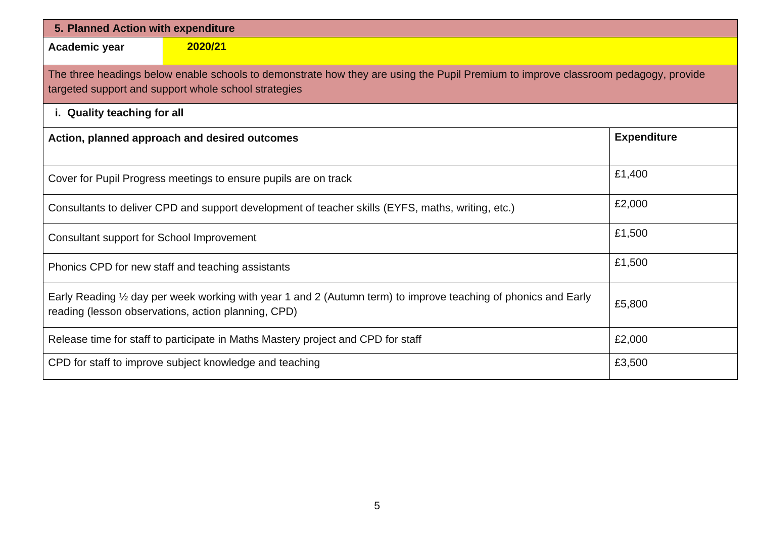| 5. Planned Action with expenditure        |                                                                                                                                                                                            |                    |
|-------------------------------------------|--------------------------------------------------------------------------------------------------------------------------------------------------------------------------------------------|--------------------|
| Academic year                             | 2020/21                                                                                                                                                                                    |                    |
|                                           | The three headings below enable schools to demonstrate how they are using the Pupil Premium to improve classroom pedagogy, provide<br>targeted support and support whole school strategies |                    |
| i. Quality teaching for all               |                                                                                                                                                                                            |                    |
|                                           | Action, planned approach and desired outcomes                                                                                                                                              | <b>Expenditure</b> |
|                                           | Cover for Pupil Progress meetings to ensure pupils are on track                                                                                                                            | £1,400             |
|                                           | Consultants to deliver CPD and support development of teacher skills (EYFS, maths, writing, etc.)                                                                                          | £2,000             |
| Consultant support for School Improvement |                                                                                                                                                                                            | £1,500             |
|                                           | Phonics CPD for new staff and teaching assistants                                                                                                                                          | £1,500             |
|                                           | Early Reading 1/2 day per week working with year 1 and 2 (Autumn term) to improve teaching of phonics and Early<br>reading (lesson observations, action planning, CPD)                     | £5,800             |
|                                           | Release time for staff to participate in Maths Mastery project and CPD for staff                                                                                                           | £2,000             |
|                                           | CPD for staff to improve subject knowledge and teaching                                                                                                                                    | £3,500             |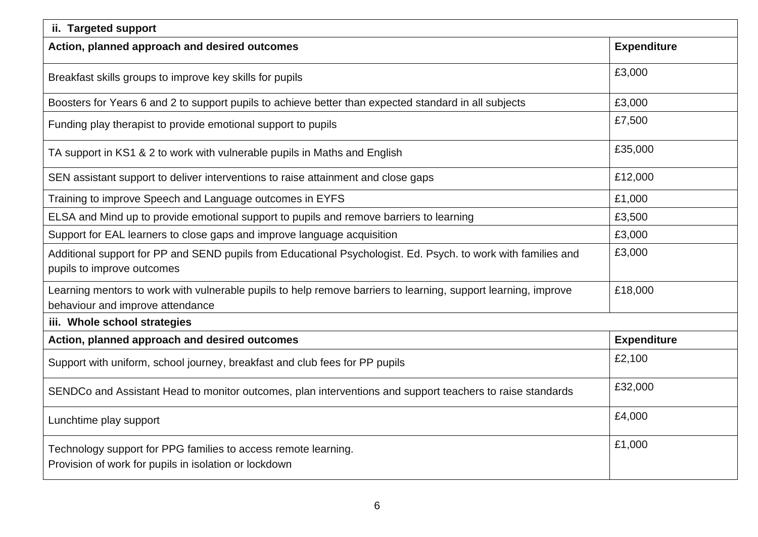| ii. Targeted support                                                                                                                               |                    |
|----------------------------------------------------------------------------------------------------------------------------------------------------|--------------------|
| Action, planned approach and desired outcomes                                                                                                      | <b>Expenditure</b> |
| Breakfast skills groups to improve key skills for pupils                                                                                           | £3,000             |
| Boosters for Years 6 and 2 to support pupils to achieve better than expected standard in all subjects                                              | £3,000             |
| Funding play therapist to provide emotional support to pupils                                                                                      | £7,500             |
| TA support in KS1 & 2 to work with vulnerable pupils in Maths and English                                                                          | £35,000            |
| SEN assistant support to deliver interventions to raise attainment and close gaps                                                                  | £12,000            |
| Training to improve Speech and Language outcomes in EYFS                                                                                           | £1,000             |
| ELSA and Mind up to provide emotional support to pupils and remove barriers to learning                                                            | £3,500             |
| Support for EAL learners to close gaps and improve language acquisition                                                                            | £3,000             |
| Additional support for PP and SEND pupils from Educational Psychologist. Ed. Psych. to work with families and<br>pupils to improve outcomes        | £3,000             |
| Learning mentors to work with vulnerable pupils to help remove barriers to learning, support learning, improve<br>behaviour and improve attendance | £18,000            |
| iii. Whole school strategies                                                                                                                       |                    |
| Action, planned approach and desired outcomes                                                                                                      | <b>Expenditure</b> |
| Support with uniform, school journey, breakfast and club fees for PP pupils                                                                        | £2,100             |
| SENDCo and Assistant Head to monitor outcomes, plan interventions and support teachers to raise standards                                          | £32,000            |
| Lunchtime play support                                                                                                                             | £4,000             |
| Technology support for PPG families to access remote learning.<br>Provision of work for pupils in isolation or lockdown                            | £1,000             |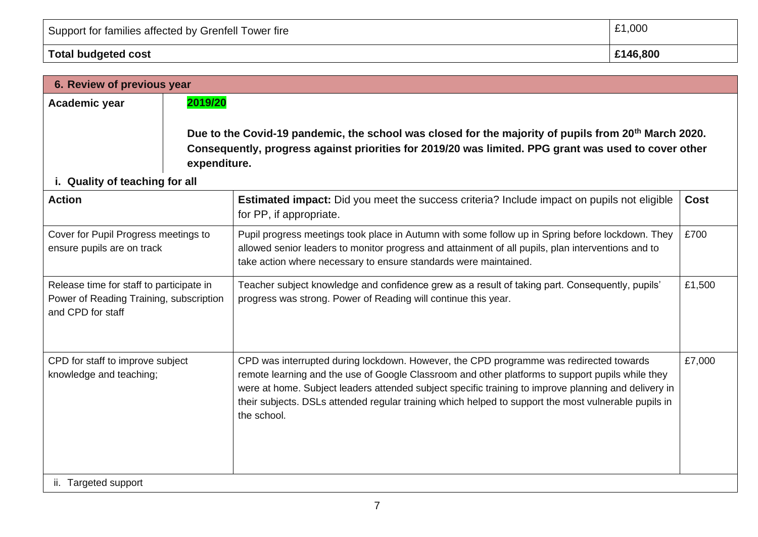| Total budgeted cost                                  | £146,800 |
|------------------------------------------------------|----------|
| Support for families affected by Grenfell Tower fire | £1,000   |

| 6. Review of previous year                                                          |                                                                                                                                                                                                                                                                                                                                                                                                                           |                                                                                                                                                                                                                                          |
|-------------------------------------------------------------------------------------|---------------------------------------------------------------------------------------------------------------------------------------------------------------------------------------------------------------------------------------------------------------------------------------------------------------------------------------------------------------------------------------------------------------------------|------------------------------------------------------------------------------------------------------------------------------------------------------------------------------------------------------------------------------------------|
| 2019/20                                                                             |                                                                                                                                                                                                                                                                                                                                                                                                                           |                                                                                                                                                                                                                                          |
| i. Quality of teaching for all                                                      |                                                                                                                                                                                                                                                                                                                                                                                                                           |                                                                                                                                                                                                                                          |
|                                                                                     | <b>Estimated impact:</b> Did you meet the success criteria? Include impact on pupils not eligible<br>for PP, if appropriate.                                                                                                                                                                                                                                                                                              | <b>Cost</b>                                                                                                                                                                                                                              |
| Cover for Pupil Progress meetings to<br>ensure pupils are on track                  | Pupil progress meetings took place in Autumn with some follow up in Spring before lockdown. They<br>allowed senior leaders to monitor progress and attainment of all pupils, plan interventions and to<br>take action where necessary to ensure standards were maintained.                                                                                                                                                |                                                                                                                                                                                                                                          |
| Release time for staff to participate in<br>Power of Reading Training, subscription | Teacher subject knowledge and confidence grew as a result of taking part. Consequently, pupils'<br>progress was strong. Power of Reading will continue this year.                                                                                                                                                                                                                                                         | £1,500                                                                                                                                                                                                                                   |
| CPD for staff to improve subject                                                    | CPD was interrupted during lockdown. However, the CPD programme was redirected towards<br>remote learning and the use of Google Classroom and other platforms to support pupils while they<br>were at home. Subject leaders attended subject specific training to improve planning and delivery in<br>their subjects. DSLs attended regular training which helped to support the most vulnerable pupils in<br>the school. | £7,000                                                                                                                                                                                                                                   |
|                                                                                     |                                                                                                                                                                                                                                                                                                                                                                                                                           | Due to the Covid-19 pandemic, the school was closed for the majority of pupils from 20 <sup>th</sup> March 2020.<br>Consequently, progress against priorities for 2019/20 was limited. PPG grant was used to cover other<br>expenditure. |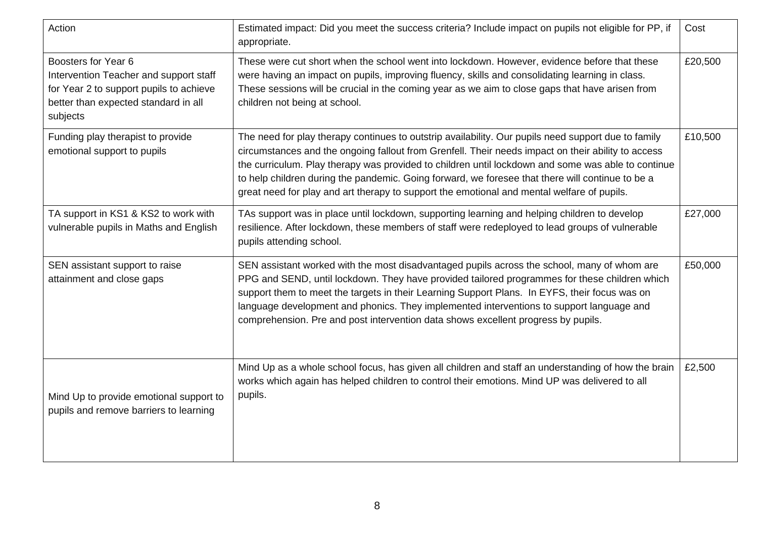| Action                                                                                                                                                       | Estimated impact: Did you meet the success criteria? Include impact on pupils not eligible for PP, if<br>appropriate.                                                                                                                                                                                                                                                                                                                                                                                             | Cost    |
|--------------------------------------------------------------------------------------------------------------------------------------------------------------|-------------------------------------------------------------------------------------------------------------------------------------------------------------------------------------------------------------------------------------------------------------------------------------------------------------------------------------------------------------------------------------------------------------------------------------------------------------------------------------------------------------------|---------|
| Boosters for Year 6<br>Intervention Teacher and support staff<br>for Year 2 to support pupils to achieve<br>better than expected standard in all<br>subjects | These were cut short when the school went into lockdown. However, evidence before that these<br>were having an impact on pupils, improving fluency, skills and consolidating learning in class.<br>These sessions will be crucial in the coming year as we aim to close gaps that have arisen from<br>children not being at school.                                                                                                                                                                               | £20,500 |
| Funding play therapist to provide<br>emotional support to pupils                                                                                             | The need for play therapy continues to outstrip availability. Our pupils need support due to family<br>circumstances and the ongoing fallout from Grenfell. Their needs impact on their ability to access<br>the curriculum. Play therapy was provided to children until lockdown and some was able to continue<br>to help children during the pandemic. Going forward, we foresee that there will continue to be a<br>great need for play and art therapy to support the emotional and mental welfare of pupils. | £10,500 |
| TA support in KS1 & KS2 to work with<br>vulnerable pupils in Maths and English                                                                               | TAs support was in place until lockdown, supporting learning and helping children to develop<br>resilience. After lockdown, these members of staff were redeployed to lead groups of vulnerable<br>pupils attending school.                                                                                                                                                                                                                                                                                       | £27,000 |
| SEN assistant support to raise<br>attainment and close gaps                                                                                                  | SEN assistant worked with the most disadvantaged pupils across the school, many of whom are<br>PPG and SEND, until lockdown. They have provided tailored programmes for these children which<br>support them to meet the targets in their Learning Support Plans. In EYFS, their focus was on<br>language development and phonics. They implemented interventions to support language and<br>comprehension. Pre and post intervention data shows excellent progress by pupils.                                    | £50,000 |
| Mind Up to provide emotional support to<br>pupils and remove barriers to learning                                                                            | Mind Up as a whole school focus, has given all children and staff an understanding of how the brain<br>works which again has helped children to control their emotions. Mind UP was delivered to all<br>pupils.                                                                                                                                                                                                                                                                                                   | £2,500  |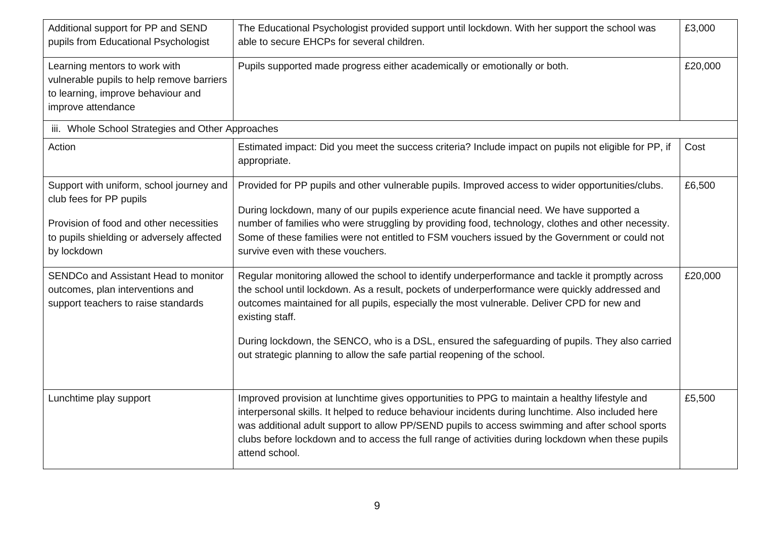| Additional support for PP and SEND<br>pupils from Educational Psychologist                                                                                                 | The Educational Psychologist provided support until lockdown. With her support the school was<br>able to secure EHCPs for several children.                                                                                                                                                                                                                                                                                                                                                          | £3,000  |
|----------------------------------------------------------------------------------------------------------------------------------------------------------------------------|------------------------------------------------------------------------------------------------------------------------------------------------------------------------------------------------------------------------------------------------------------------------------------------------------------------------------------------------------------------------------------------------------------------------------------------------------------------------------------------------------|---------|
| Learning mentors to work with<br>vulnerable pupils to help remove barriers<br>to learning, improve behaviour and<br>improve attendance                                     | Pupils supported made progress either academically or emotionally or both.                                                                                                                                                                                                                                                                                                                                                                                                                           | £20,000 |
| iii. Whole School Strategies and Other Approaches                                                                                                                          |                                                                                                                                                                                                                                                                                                                                                                                                                                                                                                      |         |
| Action                                                                                                                                                                     | Estimated impact: Did you meet the success criteria? Include impact on pupils not eligible for PP, if<br>appropriate.                                                                                                                                                                                                                                                                                                                                                                                | Cost    |
| Support with uniform, school journey and<br>club fees for PP pupils<br>Provision of food and other necessities<br>to pupils shielding or adversely affected<br>by lockdown | Provided for PP pupils and other vulnerable pupils. Improved access to wider opportunities/clubs.<br>During lockdown, many of our pupils experience acute financial need. We have supported a<br>number of families who were struggling by providing food, technology, clothes and other necessity.<br>Some of these families were not entitled to FSM vouchers issued by the Government or could not<br>survive even with these vouchers.                                                           | £6,500  |
| SENDCo and Assistant Head to monitor<br>outcomes, plan interventions and<br>support teachers to raise standards                                                            | Regular monitoring allowed the school to identify underperformance and tackle it promptly across<br>the school until lockdown. As a result, pockets of underperformance were quickly addressed and<br>outcomes maintained for all pupils, especially the most vulnerable. Deliver CPD for new and<br>existing staff.<br>During lockdown, the SENCO, who is a DSL, ensured the safeguarding of pupils. They also carried<br>out strategic planning to allow the safe partial reopening of the school. | £20,000 |
| Lunchtime play support                                                                                                                                                     | Improved provision at lunchtime gives opportunities to PPG to maintain a healthy lifestyle and<br>interpersonal skills. It helped to reduce behaviour incidents during lunchtime. Also included here<br>was additional adult support to allow PP/SEND pupils to access swimming and after school sports<br>clubs before lockdown and to access the full range of activities during lockdown when these pupils<br>attend school.                                                                      | £5,500  |